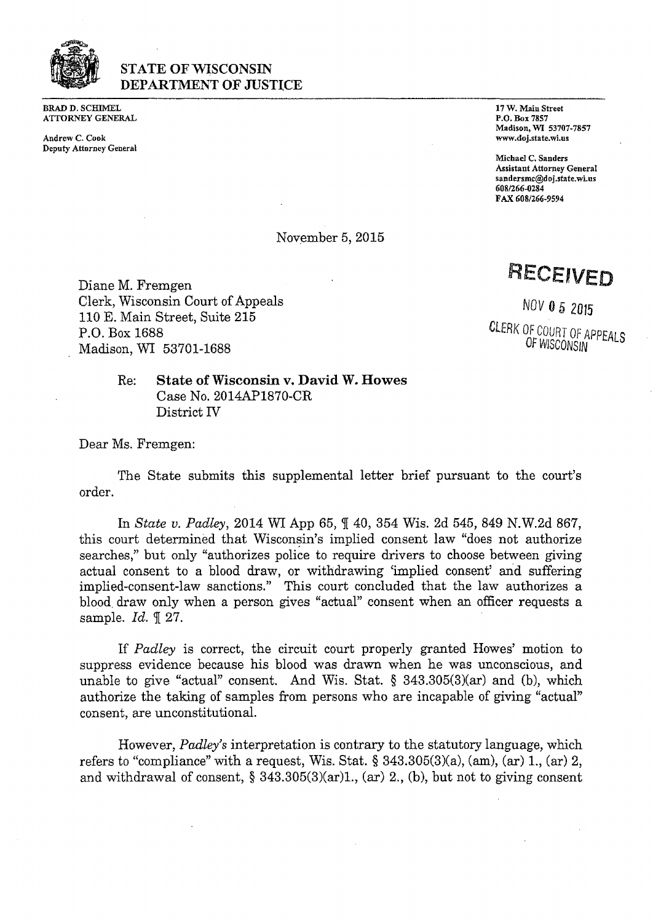

## **STATE OF WISCONSIN** DEPARTMENT OF JUSTICE

BRAD D. SCHIMEL **ATTORNEY GENERAL** 

Andrew C. Cook [www.doj.sta](http://www.doj.sta)te.wi.us Deputy Attorney General

17 W. Main Street P.O. Box 7857 Madison, WI 53707-7857

Michael C. Sanders Assistant Attorney General [sandersmc@doj.state.wi.ns](mailto:sandersmc@doj.state.wi.ns) 608/266-0284 FAX 608/266-9594

November 5, 2015

Diane M. Fremgen Clerk, Wisconsin Court of Appeals 110 E. Main Street, Suite 215 P.O. Box 1688 Madison, WI 53701-1688

RECEIVED

NOV 0 5 2015 **CLERK OF COURT OF APPEALS** 

OF WISCONSIN

Re: **State of Wisconsin v. David W. Howes** Case No. 2014AP1870-CR District IV

Dear Ms. Fremgen:

The State submits this supplemental letter brief pursuant to the court's order.

In *State v. Padley*, <sup>2014</sup> WI App 65, *f* 40, <sup>354</sup> Wis. 2d 545, <sup>849</sup> N.W.2d 867, this court determined that Wisconsin's implied consent law "does not authorize searches," but only "authorizes police to require drivers to choose between giving actual consent to a blood draw, or withdrawing 'implied consent' and suffering implied-consent-law sanctions." This court concluded that the law authorizes a blood, draw only when <sup>a</sup> person gives "actual" consent when an officer requests a sample. *Id.*  $\mathbb{I}$  27.

If *Padley* is correct, the circuit court properly granted Howes' motion to suppress evidence because his blood was drawn when he was unconscious, and unable to give "actual" consent. And Wis. Stat. § 343.305(3)(ar) and (b), which authorize the taking of samples from persons who are incapable of giving "actual" consent, are unconstitutional.

However, *Padley's* interpretation is contrary to the statutory language, which refers to "compliance" with a request, Wis. Stat.  $\S$  343.305(3)(a), (am), (ar) 1, (ar) 2, and withdrawal of consent,  $\S 343.305(3)(ar)1$ , (ar) 2, (b), but not to giving consent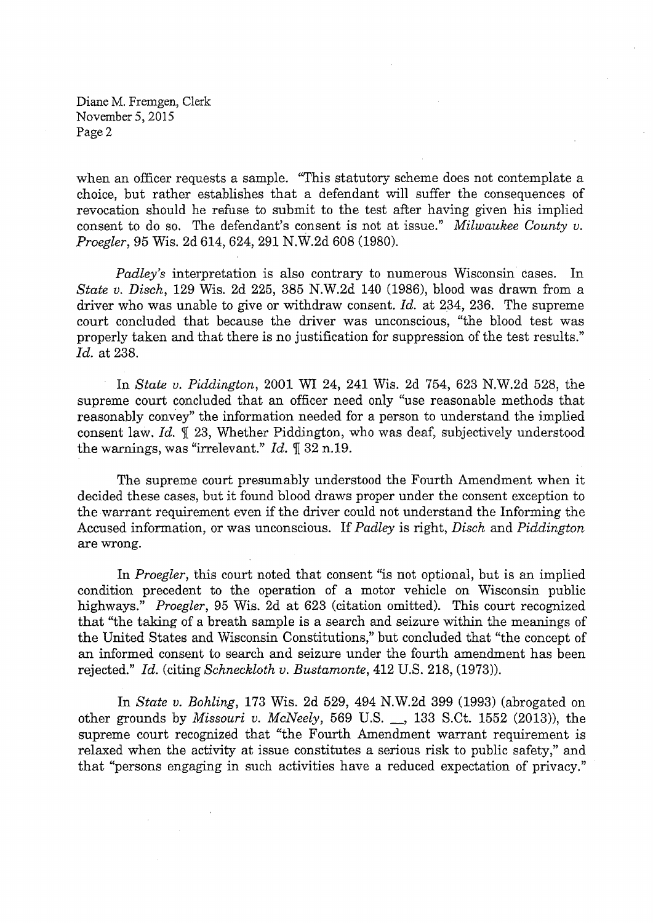Diane M. Fremgen, Clerk November 5, 2015 Page 2

when an officer requests a sample. "This statutory scheme does not contemplate a choice, but rather establishes that a defendant will suffer the consequences of revocation should he refuse to submit to the test after having given his implied consent to do so. The defendant's consent is not at issue." *Milwaukee County v. Proegler,* 95 Wis. 2d 614, 624, 291 N.W.2d 608 (1980).

*Padley's* interpretation is also contrary to numerous Wisconsin cases. In *State v. Disch,* 129 Wis. 2d 225, 385 N.W.2d 140 (1986), blood was drawn from a driver who was unable to give or withdraw consent. *Id.* at 234, 236. The supreme court concluded that because the driver was unconscious, "the blood test was properly taken and that there is no justification for suppression of the test results." *Id.* at 238.

In *State u. Piddington,* 2001 WI 24, 241 Wis. 2d 754, 623 N.W.2d 528, the supreme court concluded that an officer need only "use reasonable methods that reasonably convey" the information needed for a person to understand the implied consent law. *Id.*  $\mathbb{I}$  23, Whether Piddington, who was deaf, subjectively understood the warnings, was "irrelevant." *Id.* 1 32 n.19.

The supreme court presumably understood the Fourth Amendment when it decided these cases, but it found blood draws proper under the consent exception to the warrant requirement even if the driver could not understand the Informing the Accused information, or was unconscious. If*Padley* is right, *Disch* and *Piddington* are wrong.

In *Proegler,* this court noted that consent "is not optional, but is an implied condition precedent to the operation of a motor vehicle on Wisconsin public highways." *Proegler,* 95 Wis. 2d at 623 (citation omitted). This court recognized that "the taking of a breath sample is a search and seizure within the meanings of the United States and Wisconsin Constitutions," but concluded that "the concept of an informed consent to search and seizure under the fourth amendment has been rejected." *Id.* (citing *Schneckloth v. Bustamonte,* 412 U.S. 218, (1973)).

In *State v. Bohling,* 173 Wis. 2d 529, 494 N.W.2d 399 (1993) (abrogated on other grounds by *Missouri v. McNeely,* <sup>569</sup> U.S. \_, <sup>133</sup> S.Ct. <sup>1552</sup> (2013)), the supreme court recognized that "the Fourth Amendment warrant requirement is relaxed when the activity at issue constitutes a serious risk to public safety," and that "persons engaging in such activities have <sup>a</sup> reduced expectation of privacy."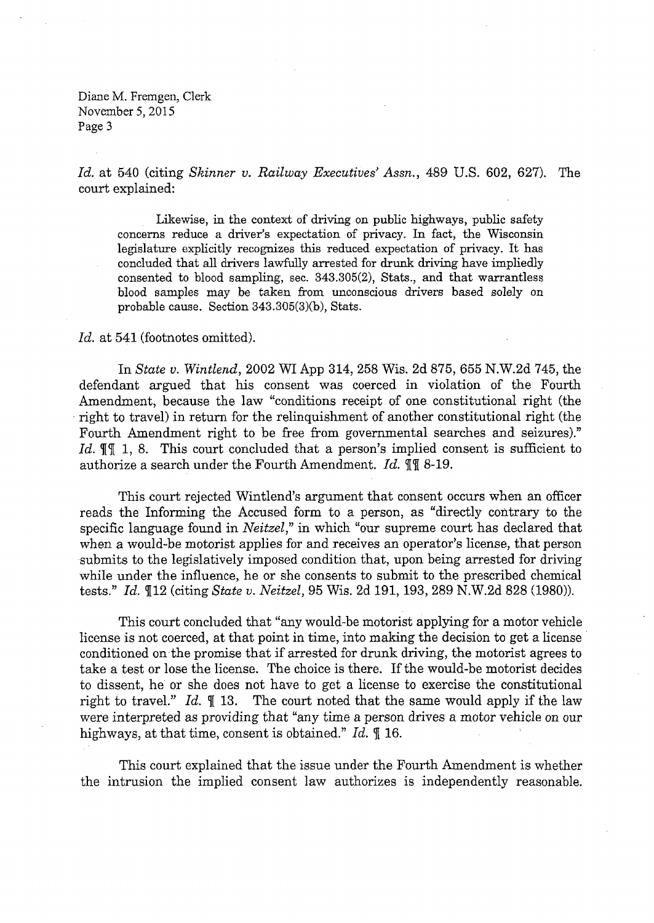Diane M. Fremgen, Clerk November 5,2015 Page 3

*Id.* at 540 (citing *Skinner v. Railway Executives' Assn.,* 489 U.S. 602, 627). The court explained:

Likewise, in the context of driving on public highways, public safety concerns reduce a driver's expectation of privacy. In fact, the Wisconsin legislature explicitly recognizes this reduced expectation of privacy. It has concluded that all drivers lawfully arrested for drunk driving have impliedly consented to blood sampling, sec. 343.305(2), Stats., and that warrantless blood samples may be taken from unconscious drivers based solely on probable cause. Section 343.305(3)(b), Stats.

## Id. at 541 (footnotes omitted).

In *State v. Wintlend,* 2002 WI App 314, 258 Wis. 2d 875, 655 N.W.2d 745, the defendant argued that his consent was coerced in violation of the Fourth Amendment, because the law "conditions receipt of one constitutional right (the right to travel) in return for the relinquishment of another constitutional right (the Fourth Amendment right to be free from governmental searches and seizures)." Id.  $\P\P$  1, 8. This court concluded that a person's implied consent is sufficient to authorize a search under the Fourth Amendment. *Id.* 11 8-19.

This court rejected Wintlend's argument that consent occurs when an officer reads the Informing the Accused form to a person, as "directly contrary to the specific language found in *Neitzel*," in which "our supreme court has declared that when a would-be motorist applies for and receives an operator's license, that person submits to the legislatively imposed condition that, upon being arrested for driving while under the influence, he or she consents to submit to the prescribed chemical tests." *Id.* 112 (citing *State v. Neitzel,* 95 Wis. 2d 191,193, 289 N.W.2d 828 (1980)).

This court concluded that "any would-be motorist applying for a motor vehicle license is not coerced, at that point in time, into making the decision to get a license conditioned on the promise that if arrested for drunk driving, the motorist agrees to take a test or lose the license. The choice is there. If the would-be motorist decides to dissent, he or she does not have to get a license to exercise the constitutional right to travel." *Id.*  $\llbracket$  13. The court noted that the same would apply if the law were interpreted as providing that "any time a person drives a motor vehicle on our highways, at that time, consent is obtained." *Id.*  $\text{\textsterling}16$ .

This court explained that the issue under the Fourth Amendment is whether the intrusion the implied consent law authorizes is independently reasonable.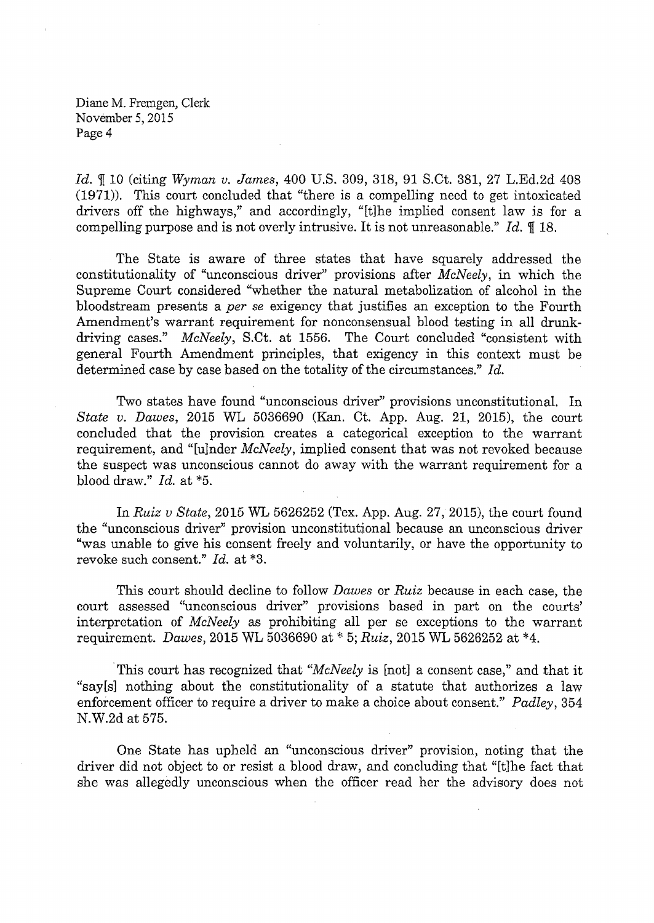Diane M. Fremgen, Clerk November 5,2015 Page 4

*Id.* I <sup>10</sup> (citing *Wyman v. James,* <sup>400</sup> U.S. 309, 318, <sup>91</sup> S.Ct. 381, <sup>27</sup> L.Ed.2d <sup>408</sup> (1971)). This court concluded that "there is a compelling need to get intoxicated drivers off the highways," and accordingly, "[t]he implied consent law is for <sup>a</sup> compelling purpose and is not overly intrusive. It is not unreasonable." *Id.* 18.

The State is aware of three states that have squarely addressed the constitutionality of "unconscious driver" provisions after *McNeely,* in which the Supreme Court considered "whether the natural metabolization of alcohol in the bloodstream presents a *per se* exigency that justifies an exception to the Fourth Amendment's warrant requirement for nonconsensual blood testing in all drunkdriving cases." *McNeely,* S.Ct. at 1556. The Court concluded "consistent with general Fourth Amendment principles, that exigency in this context must be determined case by case based on the totality of the circumstances." *Id.* 

Two states have found "unconscious driver" provisions unconstitutional. In *State v. Dawes,* 2015 WL 5036690 (Kan. Ct. App. Aug. 21, 2015), the court concluded that the provision creates a categorical exception to the warrant requirement, and "[ujnder *McNeely,* implied consent that was not revoked because the suspect was unconscious cannot do away with the warrant requirement for a blood draw." *Id.* at \*5.

In *Ruiz v State,* 2015 WL 5626252 (Tex. App. Aug. 27, 2015), the court found the "unconscious driver" provision unconstitutional because an unconscious driver "was unable to give his consent freely and voluntarily, or have the opportunity to revoke such consent." *Id.* at \*3.

This court should decline to follow *Dawes* or *Ruiz* because in each case, the court assessed "unconscious driver" provisions based in part on the courts' interpretation of *McNeely* as prohibiting all per se exceptions to the warrant requirement. *Dawes,* 2015 WL 5036690 at \* 5; *Ruiz,* 2015 WL 5626252 at \*4.

This court has recognized that '*McNeely* is [not] <sup>a</sup> consent case," and that it "say[s] nothing about the constitutionality of a statute that authorizes a law enforcement officer to require a driver to make a choice about consent." *Padley,* 354 N.W.2d at 575.

One State has upheld an "unconscious driver" provision, noting that the driver did not object to or resist <sup>a</sup> blood draw, and concluding that "[t]he fact that she was allegedly unconscious when the officer read her the advisory does not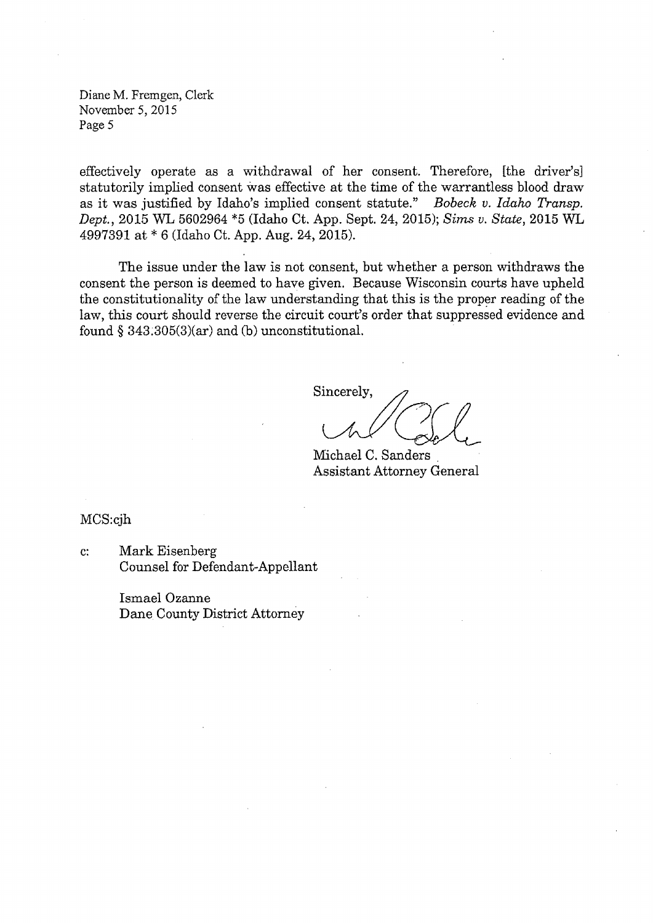Diane M. Fremgen, Clerk November 5, 2015 Page 5

effectively operate as a withdrawal of her consent. Therefore, [the driver's] statutorily implied consent was effective at the time of the warrantless blood draw as it was justified by Idaho's implied consent statute." *Bobeck v. Idaho Transp. Dept.,* 2015 WL 5602964 \*5 (Idaho Ct. App. Sept. 24, 2015); *Sims v. State,* 2015 WL 4997391 at \* 6 (Idaho Ct. App. Aug. 24, 2015).

The issue under the law is not consent, but whether a person withdraws the consent the person is deemed to have given. Because Wisconsin courts have upheld the constitutionality of the law understanding that this is the proper reading of the law, this court should reverse the circuit court's order that suppressed evidence and found  $§$  343.305(3)(ar) and (b) unconstitutional.

Sincerely,

Michael C. Sanders Assistant Attorney General

MCS:cjh

Mark Eisenberg Counsel for Defendant-Appellant c:

> Ismael Ozanne Dane County District Attorney